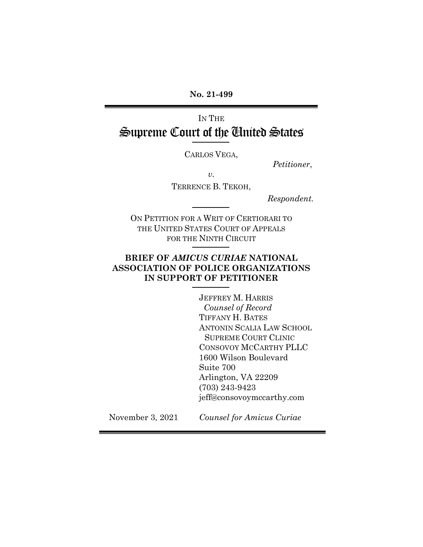**No. 21-499**

# IN THE Supreme Court of the United States

CARLOS VEGA,

*Petitioner*,

*v.* 

TERRENCE B. TEKOH,

 *Respondent.*

ON PETITION FOR A WRIT OF CERTIORARI TO THE UNITED STATES COURT OF APPEALS FOR THE NINTH CIRCUIT

### **BRIEF OF** *AMICUS CURIAE* **NATIONAL ASSOCIATION OF POLICE ORGANIZATIONS IN SUPPORT OF PETITIONER**

JEFFREY M. HARRIS *Counsel of Record* TIFFANY H. BATES ANTONIN SCALIA LAW SCHOOL SUPREME COURT CLINIC CONSOVOY MCCARTHY PLLC 1600 Wilson Boulevard Suite 700 Arlington, VA 22209 (703) 243-9423 jeff@consovoymccarthy.com

November 3, 2021 *Counsel for Amicus Curiae*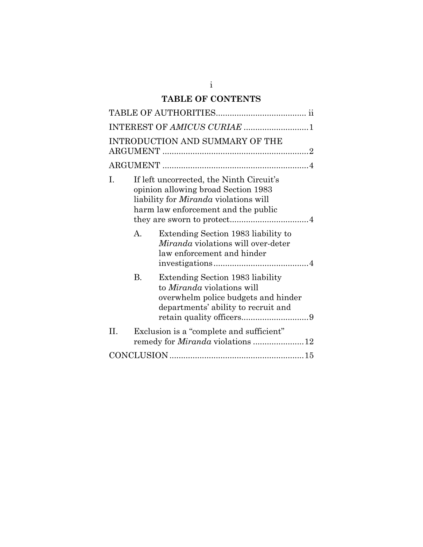## **TABLE OF CONTENTS**

|                                 | INTEREST OF AMICUS CURIAE 1                                                                                                                                            |                                                                                                                                                     |  |
|---------------------------------|------------------------------------------------------------------------------------------------------------------------------------------------------------------------|-----------------------------------------------------------------------------------------------------------------------------------------------------|--|
| INTRODUCTION AND SUMMARY OF THE |                                                                                                                                                                        |                                                                                                                                                     |  |
|                                 |                                                                                                                                                                        |                                                                                                                                                     |  |
| I.                              | If left uncorrected, the Ninth Circuit's<br>opinion allowing broad Section 1983<br>liability for <i>Miranda</i> violations will<br>harm law enforcement and the public |                                                                                                                                                     |  |
|                                 | $\mathsf{A}$ .                                                                                                                                                         | Extending Section 1983 liability to<br>Miranda violations will over-deter<br>law enforcement and hinder                                             |  |
|                                 | $\mathbf{B}$ .                                                                                                                                                         | Extending Section 1983 liability<br>to <i>Miranda</i> violations will<br>overwhelm police budgets and hinder<br>departments' ability to recruit and |  |
| II.                             | Exclusion is a "complete and sufficient"<br>remedy for <i>Miranda</i> violations 12                                                                                    |                                                                                                                                                     |  |
|                                 |                                                                                                                                                                        |                                                                                                                                                     |  |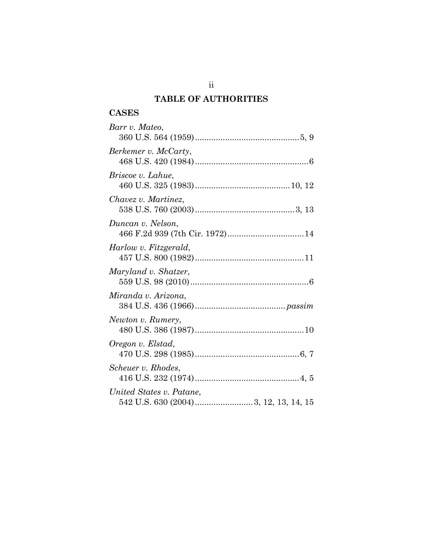## **TABLE OF AUTHORITIES**

## **CASES**

| Barr v. Mateo,           |
|--------------------------|
| Berkemer v. McCarty,     |
| Briscoe v. Lahue,        |
| Chavez v. Martinez,      |
| Duncan v. Nelson,        |
| Harlow v. Fitzgerald,    |
| Maryland v. Shatzer,     |
| Miranda v. Arizona,      |
| Newton v. Rumery,        |
| Oregon v. Elstad,        |
| Scheuer v. Rhodes,       |
| United States v. Patane, |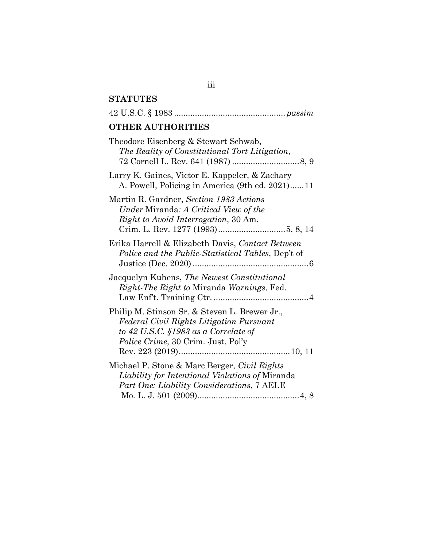## **STATUTES**

| <b>OTHER AUTHORITIES</b>                                                                                                                                                         |  |  |  |
|----------------------------------------------------------------------------------------------------------------------------------------------------------------------------------|--|--|--|
| Theodore Eisenberg & Stewart Schwab,<br>The Reality of Constitutional Tort Litigation,                                                                                           |  |  |  |
| Larry K. Gaines, Victor E. Kappeler, & Zachary<br>A. Powell, Policing in America (9th ed. 2021)11                                                                                |  |  |  |
| Martin R. Gardner, Section 1983 Actions<br>Under Miranda: A Critical View of the<br><i>Right to Avoid Interrogation, 30 Am.</i>                                                  |  |  |  |
| Erika Harrell & Elizabeth Davis, Contact Between<br>Police and the Public-Statistical Tables, Dep't of                                                                           |  |  |  |
| Jacquelyn Kuhens, The Newest Constitutional<br><i>Right-The Right to Miranda Warnings, Fed.</i>                                                                                  |  |  |  |
| Philip M. Stinson Sr. & Steven L. Brewer Jr.,<br>Federal Civil Rights Litigation Pursuant<br>to 42 U.S.C. $$1983$ as a Correlate of<br><i>Police Crime, 30 Crim. Just. Pol'y</i> |  |  |  |
| Michael P. Stone & Marc Berger, Civil Rights<br>Liability for Intentional Violations of Miranda<br>Part One: Liability Considerations, 7 AELE                                    |  |  |  |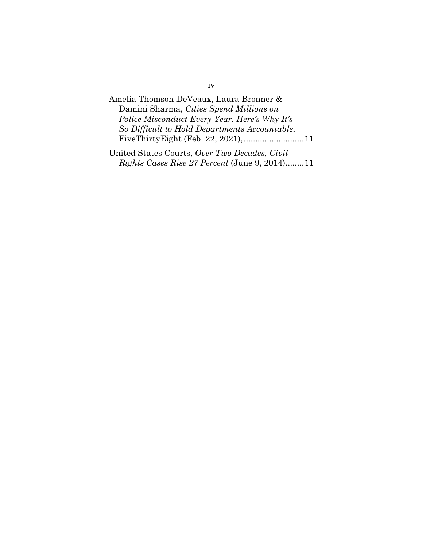Amelia Thomson-DeVeaux, Laura Bronner & Damini Sharma, *Cities Spend Millions on Police Misconduct Every Year. Here's Why It's So Difficult to Hold Departments Accountable*, FiveThirtyEight (Feb. 22, 2021),..........................11 United States Courts, *Over Two Decades, Civil* 

*Rights Cases Rise 27 Percent* (June 9, 2014)........11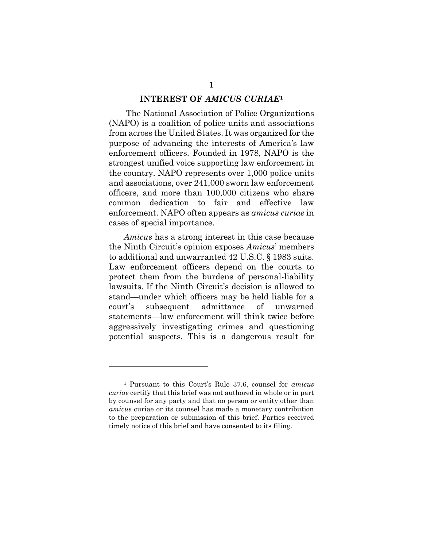#### **INTEREST OF** *AMICUS CURIAE***[1](#page-5-0)**

The National Association of Police Organizations (NAPO) is a coalition of police units and associations from across the United States. It was organized for the purpose of advancing the interests of America's law enforcement officers. Founded in 1978, NAPO is the strongest unified voice supporting law enforcement in the country. NAPO represents over 1,000 police units and associations, over 241,000 sworn law enforcement officers, and more than 100,000 citizens who share common dedication to fair and effective law enforcement. NAPO often appears as *amicus curiae* in cases of special importance.

*Amicus* has a strong interest in this case because the Ninth Circuit's opinion exposes *Amicus*' members to additional and unwarranted 42 U.S.C. § 1983 suits. Law enforcement officers depend on the courts to protect them from the burdens of personal-liability lawsuits. If the Ninth Circuit's decision is allowed to stand—under which officers may be held liable for a court's subsequent admittance of unwarned statements—law enforcement will think twice before aggressively investigating crimes and questioning potential suspects. This is a dangerous result for

<span id="page-5-0"></span><sup>1</sup> Pursuant to this Court's Rule 37.6, counsel for *amicus curiae* certify that this brief was not authored in whole or in part by counsel for any party and that no person or entity other than *amicus* curiae or its counsel has made a monetary contribution to the preparation or submission of this brief. Parties received timely notice of this brief and have consented to its filing.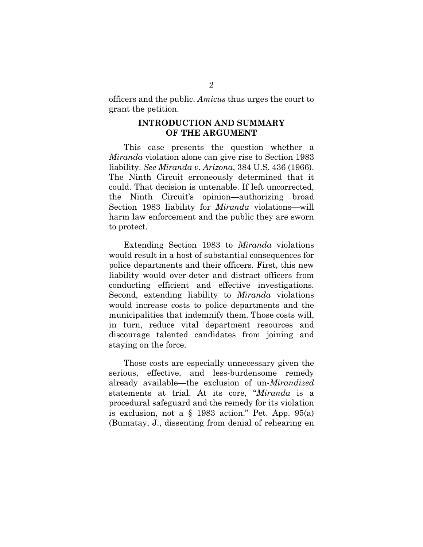officers and the public. *Amicus* thus urges the court to grant the petition.

#### **INTRODUCTION AND SUMMARY OF THE ARGUMENT**

This case presents the question whether a *Miranda* violation alone can give rise to Section 1983 liability. *See Miranda v. Arizona*, 384 U.S. 436 (1966). The Ninth Circuit erroneously determined that it could. That decision is untenable. If left uncorrected, the Ninth Circuit's opinion—authorizing broad Section 1983 liability for *Miranda* violations—will harm law enforcement and the public they are sworn to protect.

Extending Section 1983 to *Miranda* violations would result in a host of substantial consequences for police departments and their officers. First, this new liability would over-deter and distract officers from conducting efficient and effective investigations. Second, extending liability to *Miranda* violations would increase costs to police departments and the municipalities that indemnify them. Those costs will, in turn, reduce vital department resources and discourage talented candidates from joining and staying on the force.

Those costs are especially unnecessary given the serious, effective, and less-burdensome remedy already available—the exclusion of un-*Mirandized*  statements at trial. At its core, "*Miranda* is a procedural safeguard and the remedy for its violation is exclusion, not a  $\S$  1983 action." Pet. App. 95(a) (Bumatay, J., dissenting from denial of rehearing en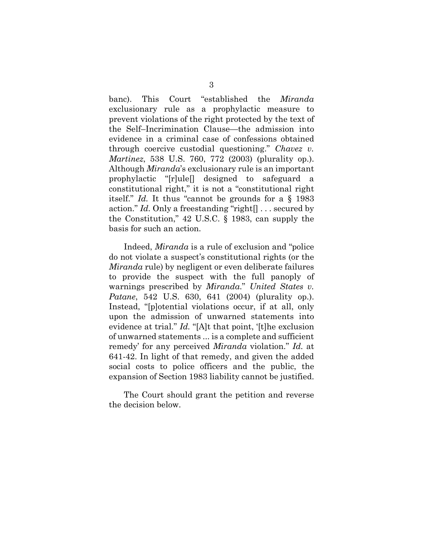banc). This Court "established the *Miranda* exclusionary rule as a prophylactic measure to prevent violations of the right protected by the text of the Self–Incrimination Clause—the admission into evidence in a criminal case of confessions obtained through coercive custodial questioning." *Chavez v. Martinez*, 538 U.S. 760, 772 (2003) (plurality op.). Although *Miranda*'s exclusionary rule is an important prophylactic "[r]ule[] designed to safeguard a constitutional right," it is not a "constitutional right itself." *Id.* It thus "cannot be grounds for a § 1983 action." *Id.* Only a freestanding "right[] . . . secured by the Constitution," 42 U.S.C. § 1983, can supply the basis for such an action.

Indeed, *Miranda* is a rule of exclusion and "police do not violate a suspect's constitutional rights (or the *Miranda* rule) by negligent or even deliberate failures to provide the suspect with the full panoply of warnings prescribed by *Miranda*." *United States v. Patane*, 542 U.S. 630, 641 (2004) (plurality op.). Instead, "[p]otential violations occur, if at all, only upon the admission of unwarned statements into evidence at trial." *Id.* "[A]t that point, '[t]he exclusion of unwarned statements ... is a complete and sufficient remedy' for any perceived *Miranda* violation." *Id.* at 641-42. In light of that remedy, and given the added social costs to police officers and the public, the expansion of Section 1983 liability cannot be justified.

The Court should grant the petition and reverse the decision below.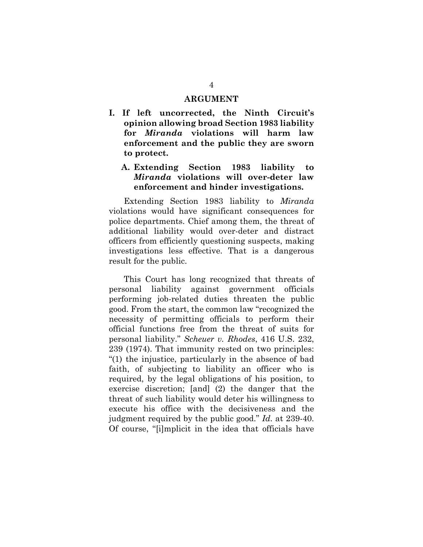#### **ARGUMENT**

**I. If left uncorrected, the Ninth Circuit's opinion allowing broad Section 1983 liability for** *Miranda* **violations will harm law enforcement and the public they are sworn to protect.**

#### **A. Extending Section 1983 liability to**  *Miranda* **violations will over-deter law enforcement and hinder investigations.**

Extending Section 1983 liability to *Miranda*  violations would have significant consequences for police departments. Chief among them, the threat of additional liability would over-deter and distract officers from efficiently questioning suspects, making investigations less effective. That is a dangerous result for the public.

This Court has long recognized that threats of personal liability against government officials performing job-related duties threaten the public good. From the start, the common law "recognized the necessity of permitting officials to perform their official functions free from the threat of suits for personal liability." *Scheuer v. Rhodes*, 416 U.S. 232, 239 (1974). That immunity rested on two principles: "(1) the injustice, particularly in the absence of bad faith, of subjecting to liability an officer who is required, by the legal obligations of his position, to exercise discretion; [and] (2) the danger that the threat of such liability would deter his willingness to execute his office with the decisiveness and the judgment required by the public good." *Id.* at 239-40. Of course, "[i]mplicit in the idea that officials have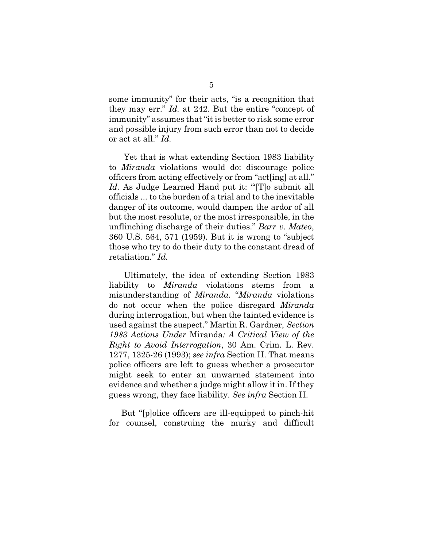some immunity" for their acts, "is a recognition that they may err." *Id.* at 242. But the entire "concept of immunity" assumes that "it is better to risk some error and possible injury from such error than not to decide or act at all." *Id.*

Yet that is what extending Section 1983 liability to *Miranda* violations would do: discourage police officers from acting effectively or from "act[ing] at all." Id. As Judge Learned Hand put it: "To submit all officials ... to the burden of a trial and to the inevitable danger of its outcome, would dampen the ardor of all but the most resolute, or the most irresponsible, in the unflinching discharge of their duties." *Barr v. Mateo*, 360 U.S. 564, 571 (1959). But it is wrong to "subject those who try to do their duty to the constant dread of retaliation." *Id.*

Ultimately, the idea of extending Section 1983 liability to *Miranda* violations stems from a misunderstanding of *Miranda.* "*Miranda* violations do not occur when the police disregard *Miranda* during interrogation, but when the tainted evidence is used against the suspect." Martin R. Gardner, *Section 1983 Actions Under* Miranda*: A Critical View of the Right to Avoid Interrogation*, 30 Am. Crim. L. Rev. 1277, 1325-26 (1993); *see infra* Section II. That means police officers are left to guess whether a prosecutor might seek to enter an unwarned statement into evidence and whether a judge might allow it in. If they guess wrong, they face liability. *See infra* Section II.

But "[p]olice officers are ill-equipped to pinch-hit for counsel, construing the murky and difficult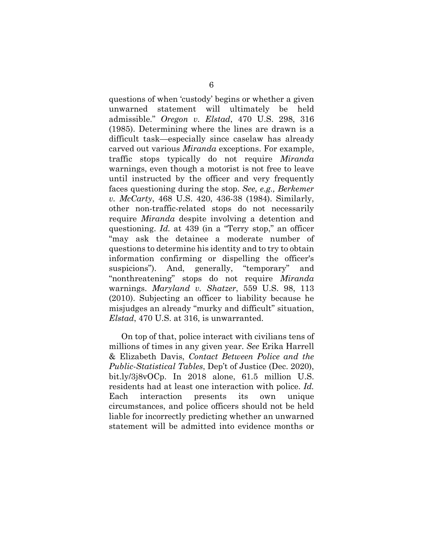questions of when 'custody' begins or whether a given unwarned statement will ultimately be held admissible." *Oregon v. Elstad*, 470 U.S. 298, 316 (1985). Determining where the lines are drawn is a difficult task—especially since caselaw has already carved out various *Miranda* exceptions. For example, traffic stops typically do not require *Miranda* warnings, even though a motorist is not free to leave until instructed by the officer and very frequently faces questioning during the stop. *See, e.g., Berkemer v. McCarty*, 468 U.S. 420, 436-38 (1984). Similarly, other non-traffic-related stops do not necessarily require *Miranda* despite involving a detention and questioning. *Id.* at 439 (in a "Terry stop," an officer "may ask the detainee a moderate number of questions to determine his identity and to try to obtain information confirming or dispelling the officer's suspicions"). And, generally, "temporary" and "nonthreatening" stops do not require *Miranda* warnings. *Maryland v. Shatzer*, 559 U.S. 98, 113 (2010). Subjecting an officer to liability because he misjudges an already "murky and difficult" situation, *Elstad*, 470 U.S. at 316, is unwarranted.

On top of that, police interact with civilians tens of millions of times in any given year. *See* Erika Harrell & Elizabeth Davis, *Contact Between Police and the Public-Statistical Tables*, Dep't of Justice (Dec. 2020), bit.ly/3j8vOCp. In 2018 alone, 61.5 million U.S. residents had at least one interaction with police. *Id.* Each interaction presents its own unique circumstances, and police officers should not be held liable for incorrectly predicting whether an unwarned statement will be admitted into evidence months or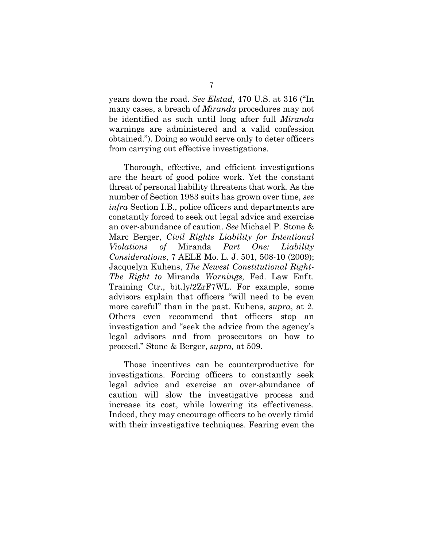years down the road. *See Elstad*, 470 U.S. at 316 ("In many cases, a breach of *Miranda* procedures may not be identified as such until long after full *Miranda* warnings are administered and a valid confession obtained."). Doing so would serve only to deter officers from carrying out effective investigations.

Thorough, effective, and efficient investigations are the heart of good police work. Yet the constant threat of personal liability threatens that work. As the number of Section 1983 suits has grown over time, *see infra* Section I.B., police officers and departments are constantly forced to seek out legal advice and exercise an over-abundance of caution. *See* Michael P. Stone & Marc Berger, *Civil Rights Liability for Intentional Violations of* Miranda *Part One: Liability Considerations*, 7 AELE Mo. L. J. 501, 508-10 (2009); Jacquelyn Kuhens, *The Newest Constitutional Right-The Right to* Miranda *Warnings,* Fed. Law Enf't. Training Ctr., bit.ly/2ZrF7WL. For example, some advisors explain that officers "will need to be even more careful" than in the past. Kuhens, *supra*, at 2. Others even recommend that officers stop an investigation and "seek the advice from the agency's legal advisors and from prosecutors on how to proceed." Stone & Berger, *supra,* at 509.

Those incentives can be counterproductive for investigations. Forcing officers to constantly seek legal advice and exercise an over-abundance of caution will slow the investigative process and increase its cost, while lowering its effectiveness. Indeed, they may encourage officers to be overly timid with their investigative techniques. Fearing even the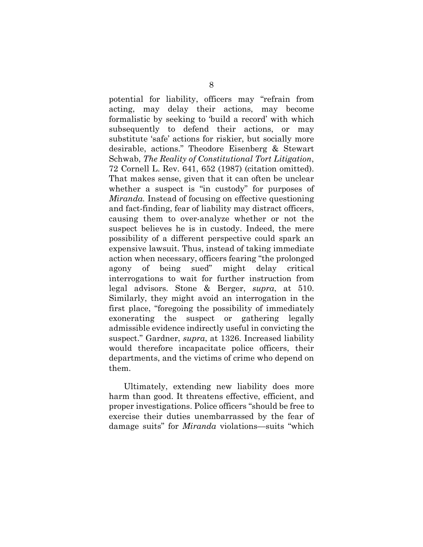potential for liability, officers may "refrain from acting, may delay their actions, may become formalistic by seeking to 'build a record' with which subsequently to defend their actions, or may substitute 'safe' actions for riskier, but socially more desirable, actions." Theodore Eisenberg & Stewart Schwab, *The Reality of Constitutional Tort Litigation*, 72 Cornell L. Rev. 641, 652 (1987) (citation omitted). That makes sense, given that it can often be unclear whether a suspect is "in custody" for purposes of *Miranda.* Instead of focusing on effective questioning and fact-finding, fear of liability may distract officers, causing them to over-analyze whether or not the suspect believes he is in custody. Indeed, the mere possibility of a different perspective could spark an expensive lawsuit. Thus, instead of taking immediate action when necessary, officers fearing "the prolonged agony of being sued" might delay critical interrogations to wait for further instruction from legal advisors. Stone & Berger, *supra*, at 510. Similarly, they might avoid an interrogation in the first place, "foregoing the possibility of immediately exonerating the suspect or gathering legally admissible evidence indirectly useful in convicting the suspect." Gardner, *supra*, at 1326. Increased liability would therefore incapacitate police officers, their departments, and the victims of crime who depend on them.

Ultimately, extending new liability does more harm than good. It threatens effective, efficient, and proper investigations. Police officers "should be free to exercise their duties unembarrassed by the fear of damage suits" for *Miranda* violations—suits "which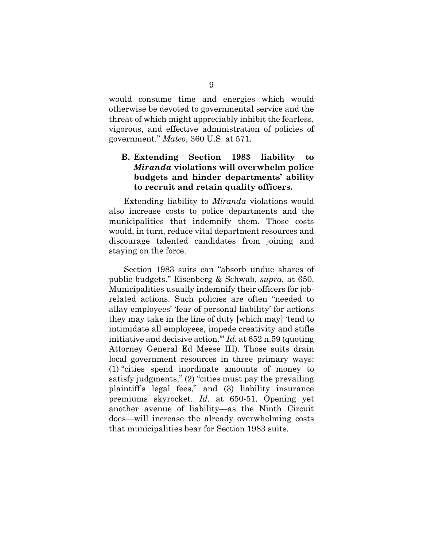would consume time and energies which would otherwise be devoted to governmental service and the threat of which might appreciably inhibit the fearless, vigorous, and effective administration of policies of government." *Mateo*, 360 U.S. at 571.

#### **B. Extending Section 1983 liability to**  *Miranda* **violations will overwhelm police budgets and hinder departments' ability to recruit and retain quality officers.**

Extending liability to *Miranda* violations would also increase costs to police departments and the municipalities that indemnify them. Those costs would, in turn, reduce vital department resources and discourage talented candidates from joining and staying on the force.

Section 1983 suits can "absorb undue shares of public budgets." Eisenberg & Schwab, *supra*, at 650. Municipalities usually indemnify their officers for jobrelated actions. Such policies are often "needed to allay employees' 'fear of personal liability' for actions they may take in the line of duty [which may] 'tend to intimidate all employees, impede creativity and stifle initiative and decisive action.'" *Id.* at 652 n.59 (quoting Attorney General Ed Meese III). Those suits drain local government resources in three primary ways: (1) "cities spend inordinate amounts of money to satisfy judgments," (2) "cities must pay the prevailing plaintiff's legal fees," and (3) liability insurance premiums skyrocket. *Id.* at 650-51. Opening yet another avenue of liability—as the Ninth Circuit does—will increase the already overwhelming costs that municipalities bear for Section 1983 suits.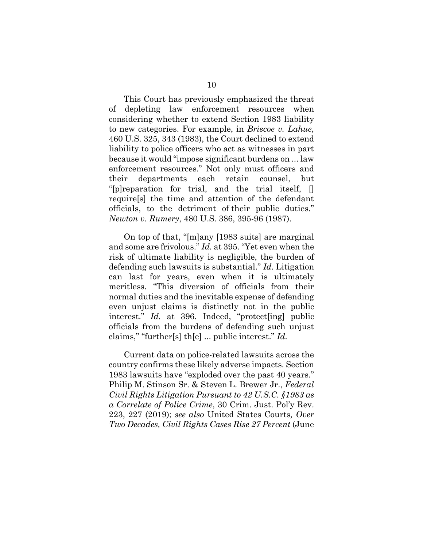This Court has previously emphasized the threat of depleting law enforcement resources when considering whether to extend Section 1983 liability to new categories. For example, in *Briscoe v. Lahue*, 460 U.S. 325, 343 (1983), the Court declined to extend liability to police officers who act as witnesses in part because it would "impose significant burdens on ... law enforcement resources." Not only must officers and their departments each retain counsel, but "[p]reparation for trial, and the trial itself, [] require[s] the time and attention of the defendant officials, to the detriment of their public duties." *Newton v. Rumery*, 480 U.S. 386, 395-96 (1987).

On top of that, "[m]any [1983 suits] are marginal and some are frivolous." *Id.* at 395. "Yet even when the risk of ultimate liability is negligible, the burden of defending such lawsuits is substantial." *Id.* Litigation can last for years, even when it is ultimately meritless. "This diversion of officials from their normal duties and the inevitable expense of defending even unjust claims is distinctly not in the public interest." *Id.* at 396. Indeed, "protect[ing] public officials from the burdens of defending such unjust claims," "further[s] th[e] ... public interest." *Id.*

Current data on police-related lawsuits across the country confirms these likely adverse impacts. Section 1983 lawsuits have "exploded over the past 40 years." Philip M. Stinson Sr. & Steven L. Brewer Jr., *Federal Civil Rights Litigation Pursuant to 42 U.S.C. §1983 as a Correlate of Police Crime*, 30 Crim. Just. Pol'y Rev. 223, 227 (2019); *see also* United States Courts*, Over Two Decades, Civil Rights Cases Rise 27 Percent* (June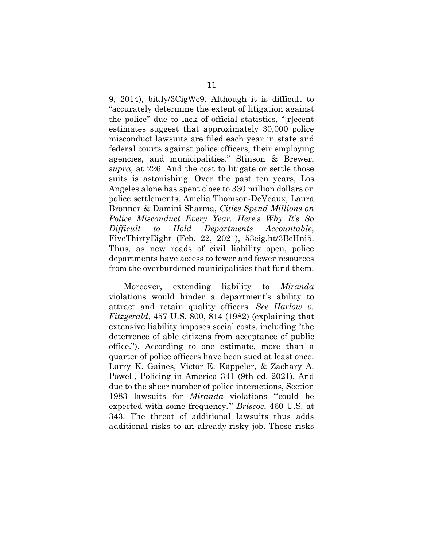9, 2014), bit.ly/3CigWc9. Although it is difficult to "accurately determine the extent of litigation against the police" due to lack of official statistics, "[r]ecent estimates suggest that approximately 30,000 police misconduct lawsuits are filed each year in state and federal courts against police officers, their employing agencies, and municipalities." Stinson & Brewer, *supra*, at 226. And the cost to litigate or settle those suits is astonishing. Over the past ten years, Los Angeles alone has spent close to 330 million dollars on police settlements. Amelia Thomson-DeVeaux, Laura Bronner & Damini Sharma, *Cities Spend Millions on Police Misconduct Every Year. Here's Why It's So Difficult to Hold Departments Accountable*, FiveThirtyEight (Feb. 22, 2021), 53eig.ht/3BcHni5. Thus, as new roads of civil liability open, police departments have access to fewer and fewer resources from the overburdened municipalities that fund them.

Moreover, extending liability to *Miranda* violations would hinder a department's ability to attract and retain quality officers. *See Harlow v. Fitzgerald*, 457 U.S. 800, 814 (1982) (explaining that extensive liability imposes social costs, including "the deterrence of able citizens from acceptance of public office."). According to one estimate, more than a quarter of police officers have been sued at least once. Larry K. Gaines, Victor E. Kappeler, & Zachary A. Powell, Policing in America 341 (9th ed. 2021). And due to the sheer number of police interactions, Section 1983 lawsuits for *Miranda* violations "'could be expected with some frequency.'" *Briscoe*, 460 U.S. at 343. The threat of additional lawsuits thus adds additional risks to an already-risky job. Those risks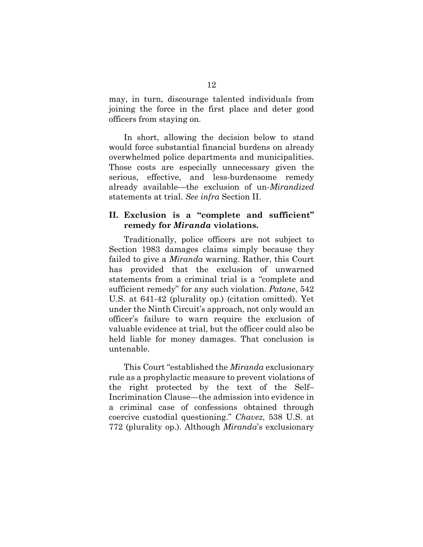may, in turn, discourage talented individuals from joining the force in the first place and deter good officers from staying on.

In short, allowing the decision below to stand would force substantial financial burdens on already overwhelmed police departments and municipalities. Those costs are especially unnecessary given the serious, effective, and less-burdensome remedy already available—the exclusion of un-*Mirandized*  statements at trial. *See infra* Section II.

#### **II. Exclusion is a "complete and sufficient" remedy for** *Miranda* **violations.**

Traditionally, police officers are not subject to Section 1983 damages claims simply because they failed to give a *Miranda* warning. Rather, this Court has provided that the exclusion of unwarned statements from a criminal trial is a "complete and sufficient remedy" for any such violation. *Patane*, 542 U.S. at 641-42 (plurality op.) (citation omitted). Yet under the Ninth Circuit's approach, not only would an officer's failure to warn require the exclusion of valuable evidence at trial, but the officer could also be held liable for money damages. That conclusion is untenable.

This Court "established the *Miranda* exclusionary rule as a prophylactic measure to prevent violations of the right protected by the text of the Self– Incrimination Clause—the admission into evidence in a criminal case of confessions obtained through coercive custodial questioning." *Chavez*, 538 U.S. at 772 (plurality op.). Although *Miranda*'s exclusionary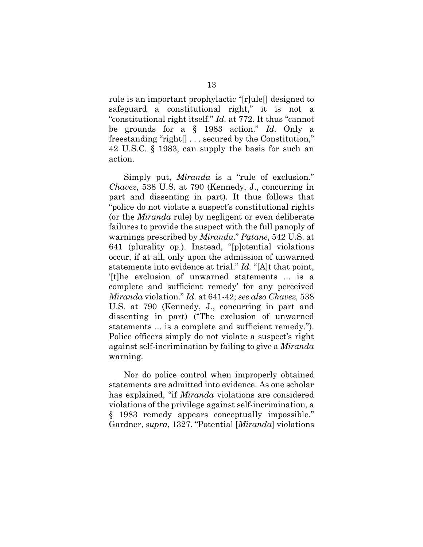rule is an important prophylactic "[r]ule[] designed to safeguard a constitutional right," it is not a "constitutional right itself." *Id.* at 772. It thus "cannot be grounds for a § 1983 action." *Id.* Only a freestanding "right[] . . . secured by the Constitution," 42 U.S.C. § 1983, can supply the basis for such an action.

Simply put, *Miranda* is a "rule of exclusion." *Chavez*, 538 U.S. at 790 (Kennedy, J., concurring in part and dissenting in part). It thus follows that "police do not violate a suspect's constitutional rights (or the *Miranda* rule) by negligent or even deliberate failures to provide the suspect with the full panoply of warnings prescribed by *Miranda*." *Patane*, 542 U.S. at 641 (plurality op.). Instead, "[p]otential violations occur, if at all, only upon the admission of unwarned statements into evidence at trial." *Id.* "[A]t that point, '[t]he exclusion of unwarned statements ... is a complete and sufficient remedy' for any perceived *Miranda* violation." *Id.* at 641-42; *see also Chavez,* 538 U.S. at 790 (Kennedy, J., concurring in part and dissenting in part) ("The exclusion of unwarned statements ... is a complete and sufficient remedy."). Police officers simply do not violate a suspect's right against self-incrimination by failing to give a *Miranda*  warning.

Nor do police control when improperly obtained statements are admitted into evidence. As one scholar has explained, "if *Miranda* violations are considered violations of the privilege against self-incrimination, a § 1983 remedy appears conceptually impossible." Gardner, *supra*, 1327. "Potential [*Miranda*] violations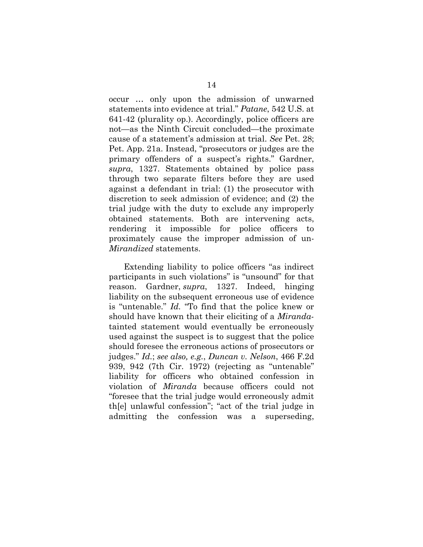occur … only upon the admission of unwarned statements into evidence at trial." *Patane*, 542 U.S. at 641-42 (plurality op.). Accordingly, police officers are not—as the Ninth Circuit concluded—the proximate cause of a statement's admission at trial. *See* Pet. 28; Pet. App. 21a. Instead, "prosecutors or judges are the primary offenders of a suspect's rights." Gardner, *supra*, 1327. Statements obtained by police pass through two separate filters before they are used against a defendant in trial: (1) the prosecutor with discretion to seek admission of evidence; and (2) the trial judge with the duty to exclude any improperly obtained statements. Both are intervening acts, rendering it impossible for police officers to proximately cause the improper admission of un-*Mirandized* statements.

Extending liability to police officers "as indirect participants in such violations" is "unsound" for that reason. Gardner, *supra*, 1327. Indeed, hinging liability on the subsequent erroneous use of evidence is "untenable." *Id.* "To find that the police knew or should have known that their eliciting of a *Miranda*tainted statement would eventually be erroneously used against the suspect is to suggest that the police should foresee the erroneous actions of prosecutors or judges." *Id.*; *see also, e.g.*, *Duncan v. Nelson*, 466 F.2d 939, 942 (7th Cir. 1972) (rejecting as "untenable" liability for officers who obtained confession in violation of *Miranda* because officers could not "foresee that the trial judge would erroneously admit th[e] unlawful confession"; "act of the trial judge in admitting the confession was a superseding,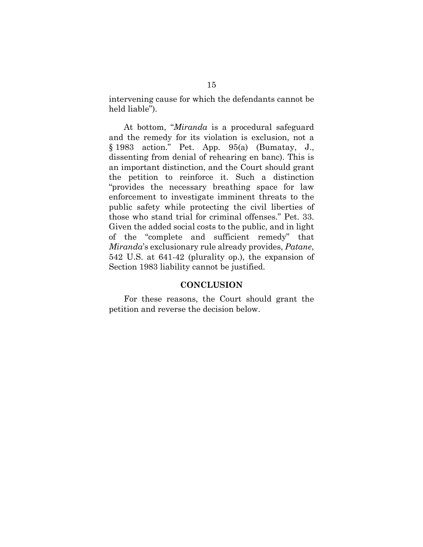intervening cause for which the defendants cannot be held liable").

At bottom, "*Miranda* is a procedural safeguard and the remedy for its violation is exclusion, not a § 1983 action." Pet. App. 95(a) (Bumatay, J., dissenting from denial of rehearing en banc). This is an important distinction, and the Court should grant the petition to reinforce it. Such a distinction "provides the necessary breathing space for law enforcement to investigate imminent threats to the public safety while protecting the civil liberties of those who stand trial for criminal offenses." Pet. 33. Given the added social costs to the public, and in light of the "complete and sufficient remedy" that *Miranda*'s exclusionary rule already provides, *Patane*, 542 U.S. at 641-42 (plurality op.), the expansion of Section 1983 liability cannot be justified.

#### **CONCLUSION**

For these reasons, the Court should grant the petition and reverse the decision below.